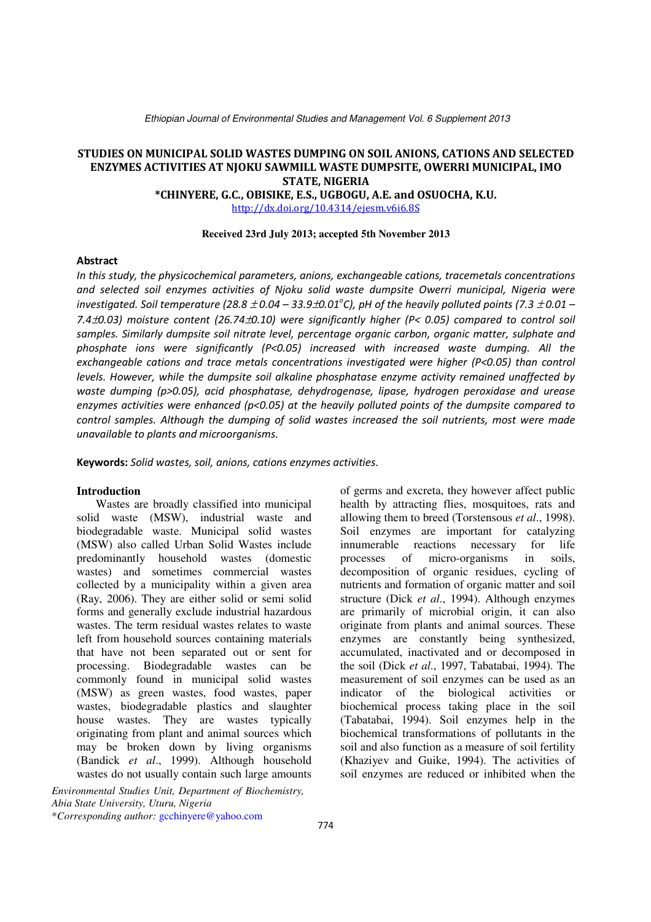Ethiopian Journal of Environmental Studies and Management Vol. 6 Supplement 2013

### STUDIES ON MUNICIPAL SOLID WASTES DUMPING ON SOIL ANIONS, CATIONS AND SELECTED ENZYMES ACTIVITIES AT NJOKU SAWMILL WASTE DUMPSITE, OWERRI MUNICIPAL, IMO STATE, NIGERIA

\*CHINYERE, G.C., OBISIKE, E.S., UGBOGU, A.E. and OSUOCHA, K.U.

http://dx.doi.org/10.4314/ejesm.v6i6.8S

### **Received 23rd July 2013; accepted 5th November 2013**

### **Abstract**

In this study, the physicochemical parameters, anions, exchangeable cations, tracemetals concentrations and selected soil enzymes activities of Njoku solid waste dumpsite Owerri municipal, Nigeria were investigated. Soil temperature (28.8  $\pm$  0.04 – 33.9 $\pm$ 0.01 $^{\circ}$ C), pH of the heavily polluted points (7.3  $\pm$ 0.01 – 7.4±0.03) moisture content (26.74±0.10) were significantly higher (P< 0.05) compared to control soil samples. Similarly dumpsite soil nitrate level, percentage organic carbon, organic matter, sulphate and phosphate ions were significantly (P<0.05) increased with increased waste dumping. All the exchangeable cations and trace metals concentrations investigated were higher (P<0.05) than control levels. However, while the dumpsite soil alkaline phosphatase enzyme activity remained unaffected by waste dumping (p>0.05), acid phosphatase, dehydrogenase, lipase, hydrogen peroxidase and urease enzymes activities were enhanced (p<0.05) at the heavily polluted points of the dumpsite compared to control samples. Although the dumping of solid wastes increased the soil nutrients, most were made unavailable to plants and microorganisms.

Keywords: Solid wastes, soil, anions, cations enzymes activities.

#### **Introduction**

Wastes are broadly classified into municipal solid waste (MSW), industrial waste and biodegradable waste. Municipal solid wastes (MSW) also called Urban Solid Wastes include predominantly household wastes (domestic wastes) and sometimes commercial wastes collected by a municipality within a given area (Ray, 2006). They are either solid or semi solid forms and generally exclude industrial hazardous wastes. The term residual wastes relates to waste left from household sources containing materials that have not been separated out or sent for processing. Biodegradable wastes can be commonly found in municipal solid wastes (MSW) as green wastes, food wastes, paper wastes, biodegradable plastics and slaughter house wastes. They are wastes typically originating from plant and animal sources which may be broken down by living organisms (Bandick *et al*., 1999). Although household wastes do not usually contain such large amounts

*Environmental Studies Unit, Department of Biochemistry, Abia State University, Uturu, Nigeria* \**Corresponding author:* gcchinyere@yahoo.com

of germs and excreta, they however affect public health by attracting flies, mosquitoes, rats and allowing them to breed (Torstensous *et al*., 1998). Soil enzymes are important for catalyzing innumerable reactions necessary for life processes of micro-organisms in soils, decomposition of organic residues, cycling of nutrients and formation of organic matter and soil structure (Dick *et al*., 1994). Although enzymes are primarily of microbial origin, it can also originate from plants and animal sources. These enzymes are constantly being synthesized, accumulated, inactivated and or decomposed in the soil (Dick *et al*., 1997, Tabatabai, 1994). The measurement of soil enzymes can be used as an indicator of the biological activities or biochemical process taking place in the soil (Tabatabai, 1994). Soil enzymes help in the biochemical transformations of pollutants in the soil and also function as a measure of soil fertility (Khaziyev and Guike, 1994). The activities of soil enzymes are reduced or inhibited when the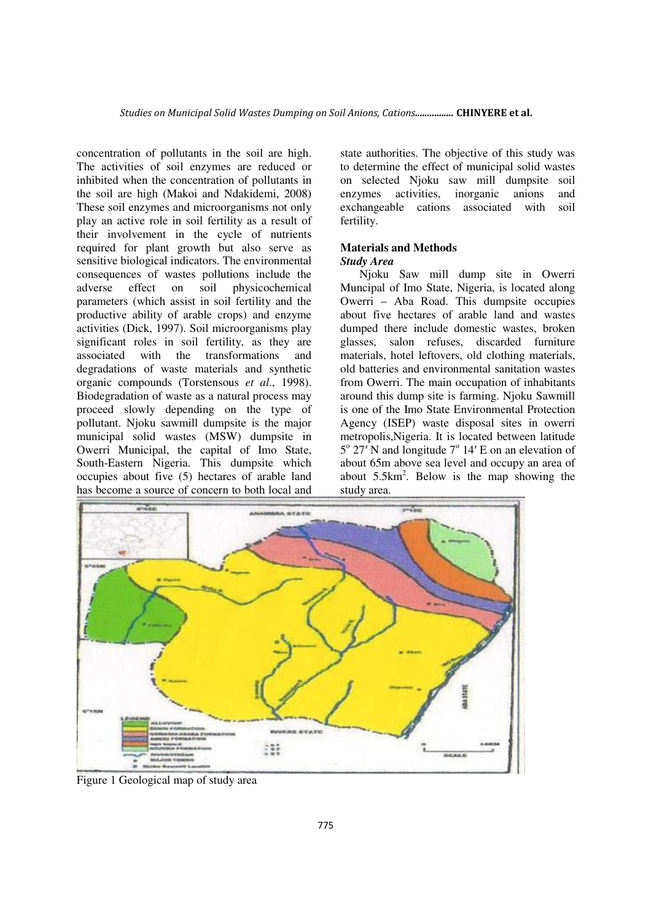concentration of pollutants in the soil are high. The activities of soil enzymes are reduced or inhibited when the concentration of pollutants in the soil are high (Makoi and Ndakidemi, 2008) These soil enzymes and microorganisms not only play an active role in soil fertility as a result of their involvement in the cycle of nutrients required for plant growth but also serve as sensitive biological indicators. The environmental consequences of wastes pollutions include the adverse effect on soil physicochemical parameters (which assist in soil fertility and the productive ability of arable crops) and enzyme activities (Dick, 1997). Soil microorganisms play significant roles in soil fertility, as they are associated with the transformations and degradations of waste materials and synthetic organic compounds (Torstensous *et al*., 1998). Biodegradation of waste as a natural process may proceed slowly depending on the type of pollutant. Njoku sawmill dumpsite is the major municipal solid wastes (MSW) dumpsite in Owerri Municipal, the capital of Imo State, South-Eastern Nigeria. This dumpsite which occupies about five (5) hectares of arable land has become a source of concern to both local and

state authorities. The objective of this study was to determine the effect of municipal solid wastes on selected Njoku saw mill dumpsite soil enzymes activities, inorganic anions and exchangeable cations associated with soil fertility.

### **Materials and Methods**  *Study Area*

Njoku Saw mill dump site in Owerri Muncipal of Imo State, Nigeria, is located along Owerri – Aba Road. This dumpsite occupies about five hectares of arable land and wastes dumped there include domestic wastes, broken glasses, salon refuses, discarded furniture materials, hotel leftovers, old clothing materials, old batteries and environmental sanitation wastes from Owerri. The main occupation of inhabitants around this dump site is farming. Njoku Sawmill is one of the Imo State Environmental Protection Agency (ISEP) waste disposal sites in owerri metropolis,Nigeria. It is located between latitude  $5^{\circ}$  27<sup>'</sup>N and longitude 7<sup>°</sup> 14' E on an elevation of about 65m above sea level and occupy an area of about  $5.5 \text{km}^2$ . Below is the map showing the study area.



Figure 1 Geological map of study area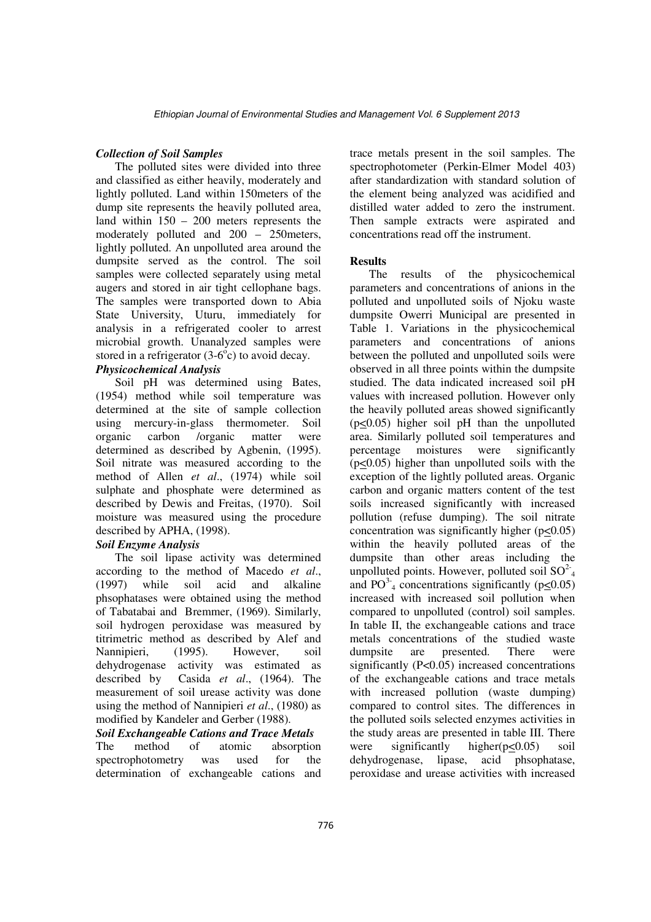### *Collection of Soil Samples*

The polluted sites were divided into three and classified as either heavily, moderately and lightly polluted. Land within 150meters of the dump site represents the heavily polluted area, land within 150 – 200 meters represents the moderately polluted and 200 – 250meters, lightly polluted. An unpolluted area around the dumpsite served as the control. The soil samples were collected separately using metal augers and stored in air tight cellophane bags. The samples were transported down to Abia State University, Uturu, immediately for analysis in a refrigerated cooler to arrest microbial growth. Unanalyzed samples were stored in a refrigerator  $(3-6<sup>o</sup>c)$  to avoid decay.

# *Physicochemical Analysis*

Soil pH was determined using Bates, (1954) method while soil temperature was determined at the site of sample collection using mercury-in-glass thermometer. Soil organic carbon /organic matter were determined as described by Agbenin, (1995). Soil nitrate was measured according to the method of Allen *et al*., (1974) while soil sulphate and phosphate were determined as described by Dewis and Freitas, (1970). Soil moisture was measured using the procedure described by APHA, (1998).

# *Soil Enzyme Analysis*

The soil lipase activity was determined according to the method of Macedo *et al*., (1997) while soil acid and alkaline phsophatases were obtained using the method of Tabatabai and Bremmer, (1969). Similarly, soil hydrogen peroxidase was measured by titrimetric method as described by Alef and Nannipieri, (1995). However, soil dehydrogenase activity was estimated as described by Casida *et al*., (1964). The measurement of soil urease activity was done using the method of Nannipieri *et al*., (1980) as modified by Kandeler and Gerber (1988).

### *Soil Exchangeable Cations and Trace Metals*

The method of atomic absorption spectrophotometry was used for the determination of exchangeable cations and trace metals present in the soil samples. The spectrophotometer (Perkin-Elmer Model 403) after standardization with standard solution of the element being analyzed was acidified and distilled water added to zero the instrument. Then sample extracts were aspirated and concentrations read off the instrument.

### **Results**

The results of the physicochemical parameters and concentrations of anions in the polluted and unpolluted soils of Njoku waste dumpsite Owerri Municipal are presented in Table 1. Variations in the physicochemical parameters and concentrations of anions between the polluted and unpolluted soils were observed in all three points within the dumpsite studied. The data indicated increased soil pH values with increased pollution. However only the heavily polluted areas showed significantly (p<0.05) higher soil pH than the unpolluted area. Similarly polluted soil temperatures and percentage moistures were significantly (p<0.05) higher than unpolluted soils with the exception of the lightly polluted areas. Organic carbon and organic matters content of the test soils increased significantly with increased pollution (refuse dumping). The soil nitrate concentration was significantly higher  $(p<0.05)$ within the heavily polluted areas of the dumpsite than other areas including the unpolluted points. However, polluted soil  $SO^{2}$ <sub>4</sub> and PO<sup>3-</sup><sub>4</sub> concentrations significantly ( $p \le 0.05$ ) increased with increased soil pollution when compared to unpolluted (control) soil samples. In table II, the exchangeable cations and trace metals concentrations of the studied waste dumpsite are presented. There were significantly  $(P<0.05)$  increased concentrations of the exchangeable cations and trace metals with increased pollution (waste dumping) compared to control sites. The differences in the polluted soils selected enzymes activities in the study areas are presented in table III. There were significantly higher $(p<0.05)$  soil dehydrogenase, lipase, acid phsophatase, peroxidase and urease activities with increased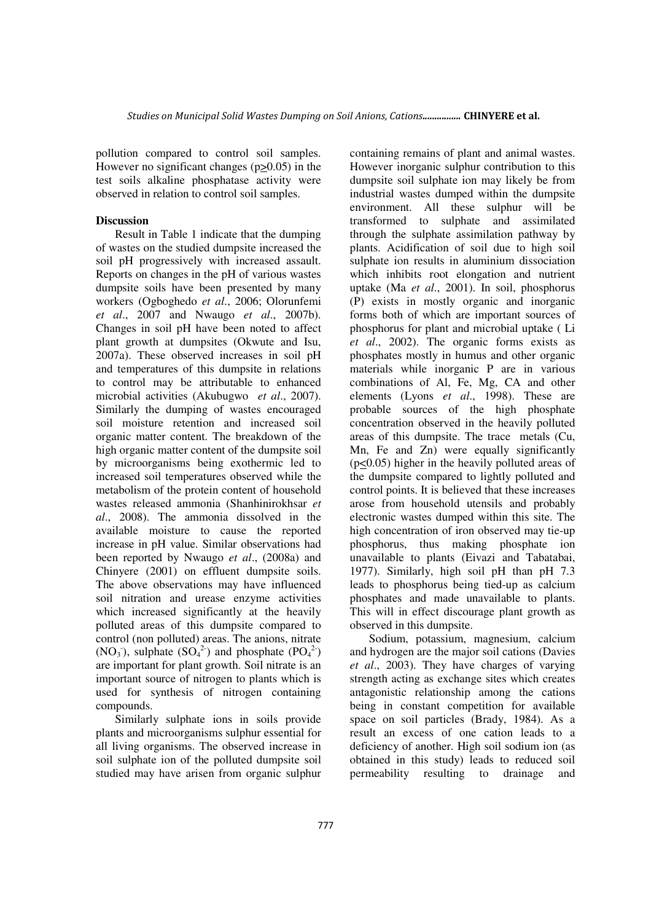pollution compared to control soil samples. However no significant changes (p>0.05) in the test soils alkaline phosphatase activity were observed in relation to control soil samples.

### **Discussion**

Result in Table 1 indicate that the dumping of wastes on the studied dumpsite increased the soil pH progressively with increased assault. Reports on changes in the pH of various wastes dumpsite soils have been presented by many workers (Ogboghedo *et al*., 2006; Olorunfemi *et al*., 2007 and Nwaugo *et al*., 2007b). Changes in soil pH have been noted to affect plant growth at dumpsites (Okwute and Isu, 2007a). These observed increases in soil pH and temperatures of this dumpsite in relations to control may be attributable to enhanced microbial activities (Akubugwo *et al*., 2007). Similarly the dumping of wastes encouraged soil moisture retention and increased soil organic matter content. The breakdown of the high organic matter content of the dumpsite soil by microorganisms being exothermic led to increased soil temperatures observed while the metabolism of the protein content of household wastes released ammonia (Shanhinirokhsar *et al*., 2008). The ammonia dissolved in the available moisture to cause the reported increase in pH value. Similar observations had been reported by Nwaugo *et al*., (2008a) and Chinyere (2001) on effluent dumpsite soils. The above observations may have influenced soil nitration and urease enzyme activities which increased significantly at the heavily polluted areas of this dumpsite compared to control (non polluted) areas. The anions, nitrate  $(NO<sub>3</sub>),$  sulphate  $(SO<sub>4</sub><sup>2</sup>)$  and phosphate  $(PO<sub>4</sub><sup>2</sup>)$ are important for plant growth. Soil nitrate is an important source of nitrogen to plants which is used for synthesis of nitrogen containing compounds.

Similarly sulphate ions in soils provide plants and microorganisms sulphur essential for all living organisms. The observed increase in soil sulphate ion of the polluted dumpsite soil studied may have arisen from organic sulphur containing remains of plant and animal wastes. However inorganic sulphur contribution to this dumpsite soil sulphate ion may likely be from industrial wastes dumped within the dumpsite environment. All these sulphur will be transformed to sulphate and assimilated through the sulphate assimilation pathway by plants. Acidification of soil due to high soil sulphate ion results in aluminium dissociation which inhibits root elongation and nutrient uptake (Ma *et al*., 2001). In soil, phosphorus (P) exists in mostly organic and inorganic forms both of which are important sources of phosphorus for plant and microbial uptake ( Li *et al*., 2002). The organic forms exists as phosphates mostly in humus and other organic materials while inorganic P are in various combinations of Al, Fe, Mg, CA and other elements (Lyons *et al*., 1998). These are probable sources of the high phosphate concentration observed in the heavily polluted areas of this dumpsite. The trace metals (Cu, Mn, Fe and Zn) were equally significantly (p<0.05) higher in the heavily polluted areas of the dumpsite compared to lightly polluted and control points. It is believed that these increases arose from household utensils and probably electronic wastes dumped within this site. The high concentration of iron observed may tie-up phosphorus, thus making phosphate ion unavailable to plants (Eivazi and Tabatabai, 1977). Similarly, high soil pH than pH 7.3 leads to phosphorus being tied-up as calcium phosphates and made unavailable to plants. This will in effect discourage plant growth as observed in this dumpsite.

Sodium, potassium, magnesium, calcium and hydrogen are the major soil cations (Davies *et al*., 2003). They have charges of varying strength acting as exchange sites which creates antagonistic relationship among the cations being in constant competition for available space on soil particles (Brady, 1984). As a result an excess of one cation leads to a deficiency of another. High soil sodium ion (as obtained in this study) leads to reduced soil permeability resulting to drainage and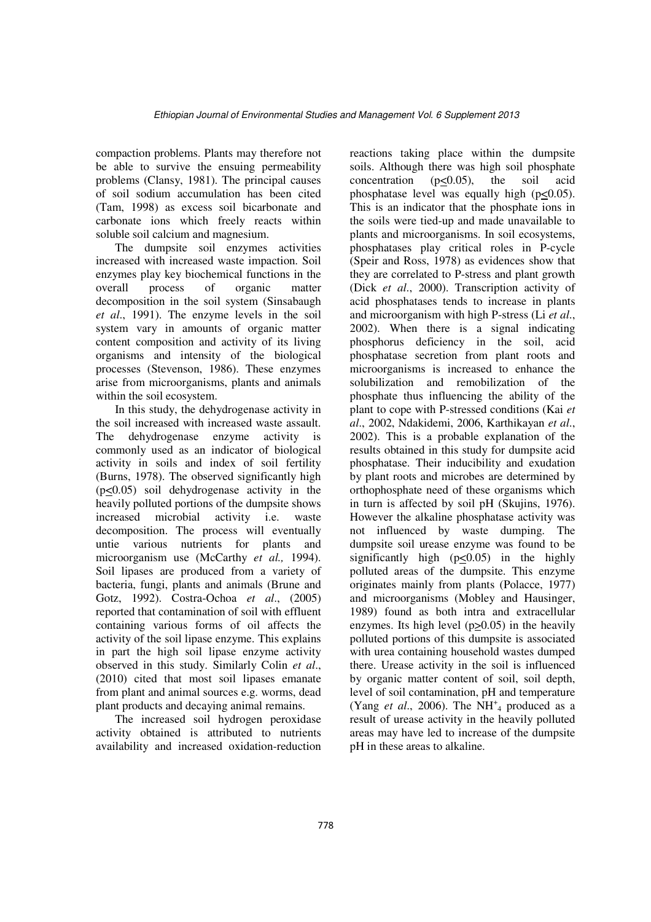compaction problems. Plants may therefore not be able to survive the ensuing permeability problems (Clansy, 1981). The principal causes of soil sodium accumulation has been cited (Tam, 1998) as excess soil bicarbonate and carbonate ions which freely reacts within soluble soil calcium and magnesium.

The dumpsite soil enzymes activities increased with increased waste impaction. Soil enzymes play key biochemical functions in the overall process of organic matter decomposition in the soil system (Sinsabaugh *et al*., 1991). The enzyme levels in the soil system vary in amounts of organic matter content composition and activity of its living organisms and intensity of the biological processes (Stevenson, 1986). These enzymes arise from microorganisms, plants and animals within the soil ecosystem.

In this study, the dehydrogenase activity in the soil increased with increased waste assault. The dehydrogenase enzyme activity is commonly used as an indicator of biological activity in soils and index of soil fertility (Burns, 1978). The observed significantly high (p<0.05) soil dehydrogenase activity in the heavily polluted portions of the dumpsite shows increased microbial activity i.e. waste decomposition. The process will eventually untie various nutrients for plants and microorganism use (McCarthy *et al.,* 1994). Soil lipases are produced from a variety of bacteria, fungi, plants and animals (Brune and Gotz, 1992). Costra-Ochoa *et al*., (2005) reported that contamination of soil with effluent containing various forms of oil affects the activity of the soil lipase enzyme. This explains in part the high soil lipase enzyme activity observed in this study. Similarly Colin *et al*., (2010) cited that most soil lipases emanate from plant and animal sources e.g. worms, dead plant products and decaying animal remains.

The increased soil hydrogen peroxidase activity obtained is attributed to nutrients availability and increased oxidation-reduction

reactions taking place within the dumpsite soils. Although there was high soil phosphate concentration  $(p<0.05)$ , the soil acid phosphatase level was equally high  $(p<0.05)$ . This is an indicator that the phosphate ions in the soils were tied-up and made unavailable to plants and microorganisms. In soil ecosystems, phosphatases play critical roles in P-cycle (Speir and Ross, 1978) as evidences show that they are correlated to P-stress and plant growth (Dick *et al*., 2000). Transcription activity of acid phosphatases tends to increase in plants and microorganism with high P-stress (Li *et al*., 2002). When there is a signal indicating phosphorus deficiency in the soil, acid phosphatase secretion from plant roots and microorganisms is increased to enhance the solubilization and remobilization of the phosphate thus influencing the ability of the plant to cope with P-stressed conditions (Kai *et al*., 2002, Ndakidemi, 2006, Karthikayan *et al*., 2002). This is a probable explanation of the results obtained in this study for dumpsite acid phosphatase. Their inducibility and exudation by plant roots and microbes are determined by orthophosphate need of these organisms which in turn is affected by soil pH (Skujins, 1976). However the alkaline phosphatase activity was not influenced by waste dumping. The dumpsite soil urease enzyme was found to be significantly high  $(p<0.05)$  in the highly polluted areas of the dumpsite. This enzyme originates mainly from plants (Polacce, 1977) and microorganisms (Mobley and Hausinger, 1989) found as both intra and extracellular enzymes. Its high level (p>0.05) in the heavily polluted portions of this dumpsite is associated with urea containing household wastes dumped there. Urease activity in the soil is influenced by organic matter content of soil, soil depth, level of soil contamination, pH and temperature (Yang *et al.*, 2006). The  $NH_{4}^+$  produced as a result of urease activity in the heavily polluted areas may have led to increase of the dumpsite pH in these areas to alkaline.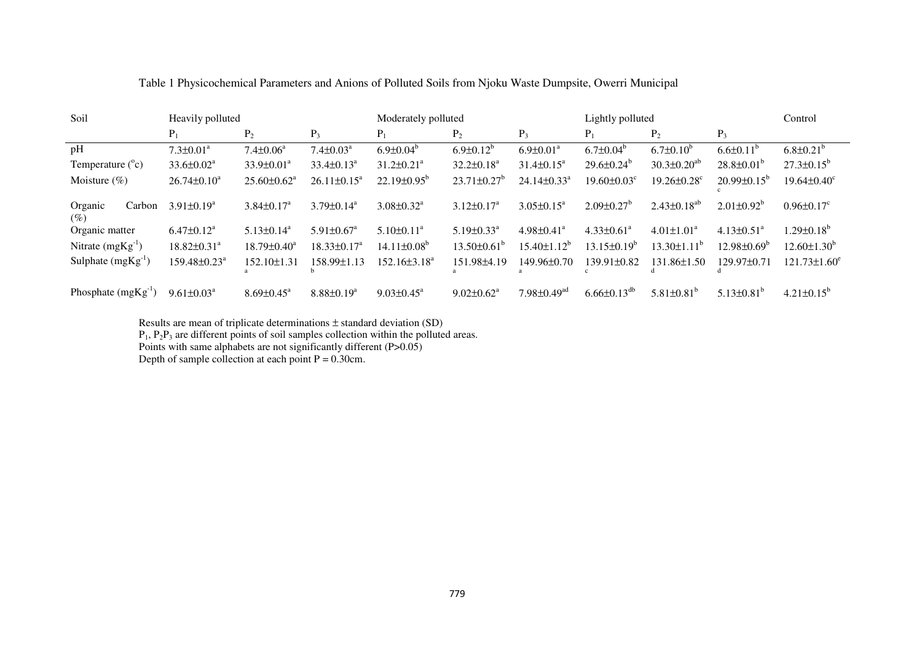| Soil                        | Heavily polluted               |                               |                              | Moderately polluted          |                               |                               | Lightly polluted              |                               |                              | Control                       |
|-----------------------------|--------------------------------|-------------------------------|------------------------------|------------------------------|-------------------------------|-------------------------------|-------------------------------|-------------------------------|------------------------------|-------------------------------|
|                             | $P_1$                          | P <sub>2</sub>                | $P_3$                        | $P_1$                        | $P_2$                         | $P_3$                         | $P_1$                         | P <sub>2</sub>                | $P_3$                        |                               |
| pH                          | $7.3 \pm 0.01^a$               | $7.4 \pm 0.06^a$              | $7.4 \pm 0.03$ <sup>a</sup>  | $6.9 \pm 0.04^b$             | $6.9 \pm 0.12^b$              | $6.9 \pm 0.01^a$              | $6.7 \pm 0.04^b$              | $6.7 \pm 0.10^b$              | $6.6{\pm}0.11^{b}$           | $6.8 \pm 0.21^b$              |
| Temperature $(^{\circ}c)$   | $33.6 \pm 0.02^{\circ}$        | $33.9 \pm 0.01^a$             | $33.4\pm0.13^a$              | $31.2 \pm 0.21^a$            | $32.2 \pm 0.18^a$             | $31.4 \pm 0.15^{\circ}$       | $29.6 \pm 0.24^b$             | $30.3 \pm 0.20^{ab}$          | $28.8 \pm 0.01^b$            | $27.3 \pm 0.15^b$             |
| Moisture $(\%)$             | $26.74 \pm 0.10^a$             | $25.60 \pm 0.62$ <sup>a</sup> | $26.11 \pm 0.15^a$           | $22.19\pm0.95^{\circ}$       | $23.71 \pm 0.27$ <sup>b</sup> | $24.14 \pm 0.33$ <sup>a</sup> | $19.60 \pm 0.03$ <sup>c</sup> | $19.26 \pm 0.28$ <sup>c</sup> | $20.99 \pm 0.15^b$           | $19.64 \pm 0.40$ <sup>c</sup> |
| Organic<br>Carbon<br>$($ %) | $3.91 \pm 0.19^a$              | $3.84 \pm 0.17^{\text{a}}$    | $3.79 \pm 0.14^a$            | $3.08 \pm 0.32$ <sup>a</sup> | $3.12 \pm 0.17^{\text{a}}$    | $3.05 \pm 0.15^{\text{a}}$    | $2.09 \pm 0.27$ <sup>b</sup>  | $2.43 \pm 0.18^{ab}$          | $2.01\pm0.92^b$              | $0.96 \pm 0.17$ <sup>c</sup>  |
| Organic matter              | $6.47 \pm 0.12$ <sup>a</sup>   | $5.13\pm0.14^a$               | $5.91 \pm 0.67$ <sup>a</sup> | $5.10\pm0.11^{\text{a}}$     | $5.19 \pm 0.33$ <sup>a</sup>  | $4.98 \pm 0.41$ <sup>a</sup>  | $4.33 \pm 0.61$ <sup>a</sup>  | $4.01 \pm 1.01^a$             | $4.13 \pm 0.51$ <sup>a</sup> | $1.29 \pm 0.18^b$             |
| Nitrate $(mgKg^{-1})$       | $18.82 \pm 0.31$ <sup>a</sup>  | $18.79 \pm 0.40^a$            | $18.33 \pm 0.17^a$           | $14.11\pm0.08^b$             | $13.50\pm0.61^{\circ}$        | $15.40 \pm 1.12^b$            | $13.15 \pm 0.19^b$            | $13.30 \pm 1.11^b$            | $12.98 \pm 0.69^{\circ}$     | $12.60 \pm 1.30^b$            |
| Sulphate $(mgKg^{-1})$      | $159.48 \pm 0.23$ <sup>a</sup> | $152.10 \pm 1.31$             | 158.99±1.13                  | $152.16\pm3.18^a$            | 151.98±4.19                   | 149.96±0.70                   | 139.91±0.82                   | 131.86±1.50                   | 129.97±0.71                  | $121.73 \pm 1.60^e$           |
| Phosphate $(mgKg^{-1})$     | $9.61 \pm 0.03^a$              | $8.69 \pm 0.45^{\text{a}}$    | $8.88 \pm 0.19^a$            | $9.03 \pm 0.45^{\text{a}}$   | $9.02 \pm 0.62^a$             | $7.98 \pm 0.49$ <sup>ad</sup> | $6.66 \pm 0.13$ <sup>db</sup> | $5.81 \pm 0.81^b$             | $5.13\pm0.81^b$              | $4.21 \pm 0.15^b$             |

# Table 1 Physicochemical Parameters and Anions of Polluted Soils from Njoku Waste Dumpsite, Owerri Municipal

Results are mean of triplicate determinations  $\pm$  standard deviation (SD)<br>P<sub>1</sub>, P<sub>2</sub>P<sub>3</sub> are different points of soil samples collection within the polluted areas.<br>Points with same alphabets are not significantly differe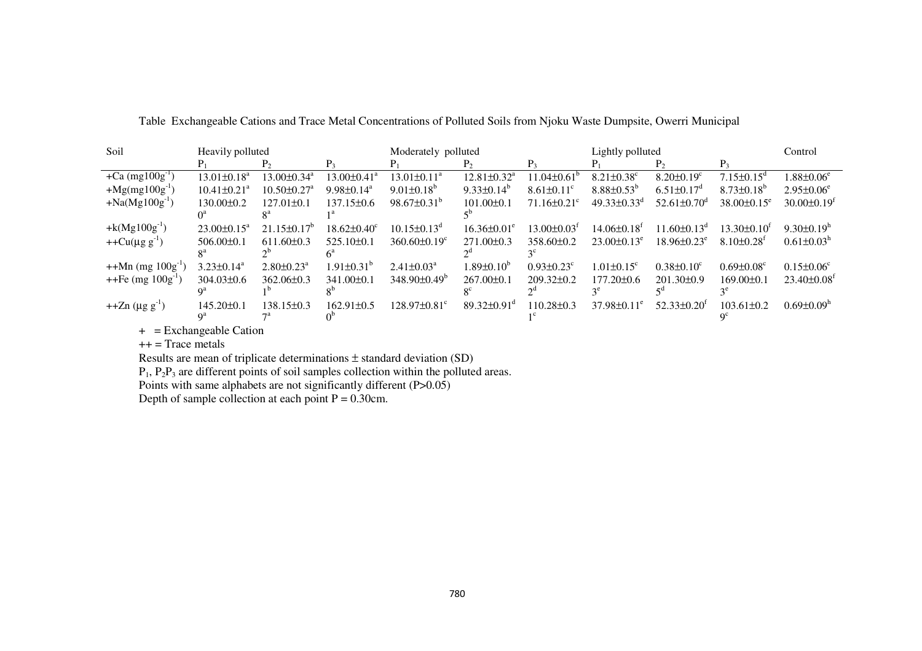| Soil                     | Heavily polluted              |                               |                               | Moderately polluted            |                               |                               | Lightly polluted              |                               |                              | Control                       |
|--------------------------|-------------------------------|-------------------------------|-------------------------------|--------------------------------|-------------------------------|-------------------------------|-------------------------------|-------------------------------|------------------------------|-------------------------------|
|                          |                               |                               | $P_{2}$                       |                                | Р,                            | $P_{2}$                       |                               | $P_{2}$                       |                              |                               |
| +Ca $(mg100g^{-1})$      | $13.01 \pm 0.18^a$            | $13.00 \pm 0.34$ <sup>a</sup> | $13.00 \pm 0.41$ <sup>a</sup> | $13.01 \pm 0.11^a$             | $12.81 \pm 0.32$ <sup>a</sup> | $11.04 \pm 0.61^{\circ}$      | $8.21 \pm 0.38$ <sup>c</sup>  | $8.20 \pm 0.19$ <sup>c</sup>  | $7.15 \pm 0.15$ <sup>d</sup> | $1.88 \pm 0.06^\mathrm{e}$    |
| $+Mg(mg100g^{-1})$       | $10.41 \pm 0.21$ <sup>a</sup> | $10.50 \pm 0.27$ <sup>a</sup> | $9.98 \pm 0.14$ <sup>a</sup>  | $9.01\pm0.18^b$                | $9.33\pm0.14^b$               | $8.61 \pm 0.11$ <sup>c</sup>  | $8.88 \pm 0.53^b$             | $6.51 \pm 0.17$ <sup>a</sup>  | $8.73\pm0.18^{b}$            | $2.95 \pm 0.06^e$             |
| $+Na(Mg100g^{-1})$       | $130.00 \pm 0.2$              | $127.01 \pm 0.1$              | $137.15\pm0.6$                | $98.67 \pm 0.31^b$             | $101.00 \pm 0.1$              | $71.16 \pm 0.21$ <sup>c</sup> | $49.33 \pm 0.33$ <sup>d</sup> | $52.61 \pm 0.70$ <sup>d</sup> | $38.00\pm0.15^e$             | $30.00 \pm 0.19$ <sup>t</sup> |
|                          |                               |                               |                               |                                |                               |                               |                               |                               |                              |                               |
| + $k(Mg100g^{-1})$       | $23.00 \pm 0.15^a$            | $21.15\pm0.17^b$              | $18.62 \pm 0.40^c$            | $10.15 \pm 0.13$ <sup>d</sup>  | $16.36 \pm 0.01^e$            | $13.00 \pm 0.03^t$            | $14.06\pm0.18$ <sup>t</sup>   | $11.60 \pm 0.13$ <sup>d</sup> | $13.30 \pm 0.10^t$           | $9.30\pm0.19h$                |
| $+ + Cu(\mu g g^{-1})$   | $506.00 \pm 0.1$              | $611.60\pm0.3$                | $525.10\pm0.1$                | $360.60 \pm 0.19$ <sup>c</sup> | $271.00\pm0.3$                | $358.60\pm0.2$                | $23.00 \pm 0.13^e$            | $18.96 \pm 0.23^e$            | $8.10\pm0.28$ <sup>t</sup>   | $0.61 \pm 0.03^h$             |
|                          |                               |                               |                               |                                |                               |                               |                               |                               |                              |                               |
| $++Mn$ (mg $100g^{-1}$ ) | $3.23 \pm 0.14^a$             | $2.80 \pm 0.23$ <sup>a</sup>  | $1.91 \pm 0.31^{\circ}$       | $2.41 \pm 0.03^a$              | $1.89 \pm 0.10^b$             | $0.93 \pm 0.23$ <sup>c</sup>  | $1.01 \pm 0.15$ <sup>c</sup>  | $0.38 \pm 0.10^c$             | $0.69 \pm 0.08$ <sup>c</sup> | $0.15 \pm 0.06$ <sup>c</sup>  |
| $++Fe$ (mg $100g^{-1}$ ) | $304.03\pm0.6$                | $362.06\pm0.3$                | $341.00\pm0.1$                | $348.90\pm0.49^b$              | $267.00\pm0.1$                | $209.32 \pm 0.2$              | $177.20 \pm 0.6$              | $201.30\pm0.9$                | $169.00 \pm 0.1$             | $23.40\pm0.08$ <sup>t</sup>   |
|                          |                               |                               |                               |                                |                               |                               |                               |                               |                              |                               |
| $+2n (\mu g g^{-1})$     | $145.20 \pm 0.1$              | 138.15±0.3                    | $162.91 \pm 0.5$              | $128.97\pm0.81^{\circ}$        | $89.32 \pm 0.91$ <sup>d</sup> | $110.28 \pm 0.3$              | $37.98 \pm 0.11^e$            | $52.33\pm0.20^{\text{t}}$     | $103.61 \pm 0.2$             | $0.69 \pm 0.09^{\mathrm{h}}$  |
|                          | q <sup>a</sup>                |                               |                               |                                |                               |                               |                               |                               |                              |                               |

Table Exchangeable Cations and Trace Metal Concentrations of Polluted Soils from Njoku Waste Dumpsite, Owerri Municipal

+ = Exchangeable Cation

 $++$  = Trace metals

Results are mean of triplicate determinations  $\pm$  standard deviation (SD)<br>P<sub>1</sub>, P<sub>2</sub>P<sub>3</sub> are different points of soil samples collection within the polluted areas.

Points with same alphabets are not significantly different (P>0.05) Depth of sample collection at each point P = 0.30cm.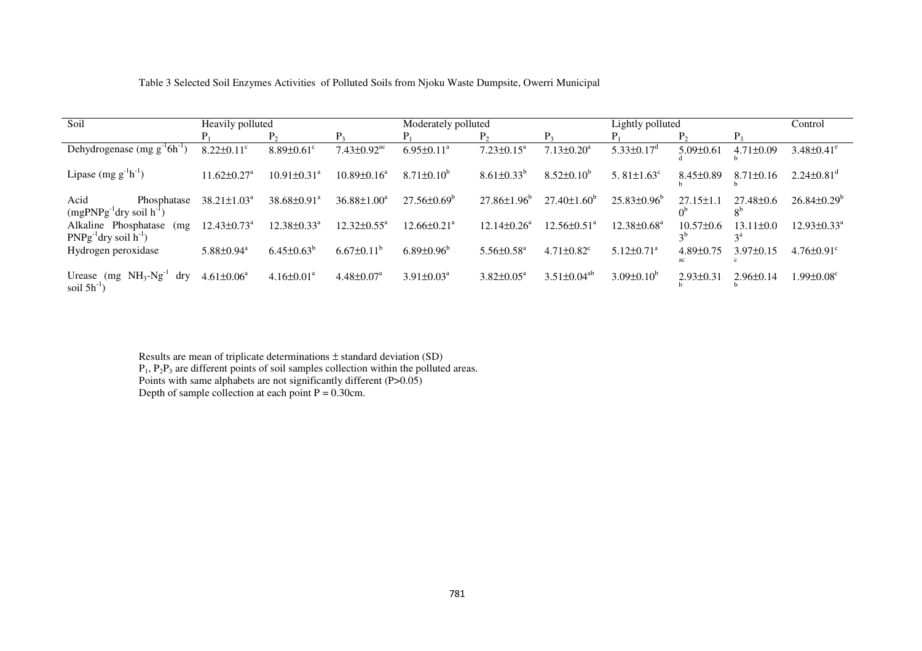| Table 3 Selected Soil Enzymes Activities of Polluted Soils from Nioku Waste Dumpsite, Owerri Municipal |  |  |
|--------------------------------------------------------------------------------------------------------|--|--|
|                                                                                                        |  |  |

| Soil<br>Heavily polluted                                         |                               |                               | Moderately polluted           |                        |                              | Lightly polluted              |                               |                                   | Control                                      |                               |
|------------------------------------------------------------------|-------------------------------|-------------------------------|-------------------------------|------------------------|------------------------------|-------------------------------|-------------------------------|-----------------------------------|----------------------------------------------|-------------------------------|
|                                                                  | $P_1$                         | $P_2$                         | P <sub>3</sub>                | $P_1$                  | $P_{2}$                      | $P_3$                         |                               | P <sub>2</sub>                    | $P_3$                                        |                               |
| Dehydrogenase $(mg g^{-1} 6h^{-1})$                              | $8.22 \pm 0.11$ <sup>c</sup>  | $8.89 \pm 0.61$ <sup>c</sup>  | $7.43 \pm 0.92$ <sup>ac</sup> | $6.95 \pm 0.11^a$      | $7.23 \pm 0.15^a$            | $7.13 \pm 0.20^a$             | $5.33 \pm 0.17$ <sup>d</sup>  | $5.09 \pm 0.61$                   | $4.71 \pm 0.09$                              | $3.48 \pm 0.41$ <sup>e</sup>  |
| Lipase $(mg g-1h-1)$                                             | $11.62 \pm 0.27^{\rm a}$      | $10.91 \pm 0.31$ <sup>a</sup> | $10.89 \pm 0.16^a$            | $8.71\pm0.10^{6}$      | $8.61 \pm 0.33^b$            | $8.52{\pm}0.10^b$             | 5.81 $\pm$ 1.63 $\textdegree$ | $8.45 \pm 0.89$                   | $8.71 \pm 0.16$                              | $2.24 \pm 0.81$ <sup>d</sup>  |
| Acid<br>Phosphatase<br>$(mgPNPg^{-1}$ dry soil h <sup>-1</sup> ) | $38.21 \pm 1.03^a$            | $38.68 \pm 0.91^{\text{a}}$   | $36.88 \pm 1.00^3$            | $27.56\pm0.69^{\circ}$ | $27.86\pm1.96^{\circ}$       | $27.40\pm1.60^b$              | $25.83\pm0.96^{\circ}$        | $27.15 \pm 1$<br>0 <sup>b</sup>   | $27.48 \pm 0.6$<br>$\mathbf{O}^{\mathbf{D}}$ | $26.84 \pm 0.29$ <sup>b</sup> |
| Alkaline Phosphatase<br>(mg<br>$PNPg^{-1}$ dry soil $h^{-1}$ )   | $12.43 \pm 0.73$ <sup>a</sup> | $12.38 \pm 0.33$ <sup>a</sup> | $12.32 \pm 0.55$ <sup>a</sup> | 12.66±0.21ª            | $12.14 \pm 0.26^a$           | $12.56 \pm 0.51$ <sup>a</sup> | $12.38 \pm 0.68$ <sup>a</sup> | $10.57 \pm 0.6$<br>2 <sup>b</sup> | 13.1<br>$1 \pm 0.0$<br>$3^a$                 | 12.93±0.33ª                   |
| Hydrogen peroxidase                                              | $5.88 \pm 0.94$ <sup>a</sup>  | $6.45 \pm 0.63^b$             | $6.67 \pm 0.11^{\circ}$       | $6.89 \pm 0.96^b$      | $5.56 \pm 0.58$ <sup>a</sup> | $4.71 \pm 0.82$ <sup>c</sup>  | $5.12 \pm 0.71$ <sup>a</sup>  | $4.89 \pm 0.75$                   | $3.97 \pm 0.15$                              | $4.76 \pm 0.91$ <sup>c</sup>  |
| Urease (mg $NH_3-Ng^{-1}$ )<br>$\rm{d}$ ry<br>soil $5h^{-1}$     | $4.61 \pm 0.06^a$             | $4.16 \pm 0.01^a$             | $4.48 \pm 0.07$ <sup>a</sup>  | $3.91 \pm 0.03^a$      | $3.82 \pm 0.05^{\text{a}}$   | $3.51 \pm 0.04^{ab}$          | $3.09 \pm 0.10^b$             | $2.93 \pm 0.31$                   | $2.96 \pm 0.14$                              | $1.99 {\pm} 0.08^{\circ}$     |

Results are mean of triplicate determinations  $\pm$  standard deviation (SD)<br>P<sub>1</sub>, P<sub>2</sub>P<sub>3</sub> are different points of soil samples collection within the polluted areas.<br>Points with same alphabets are not significantly differe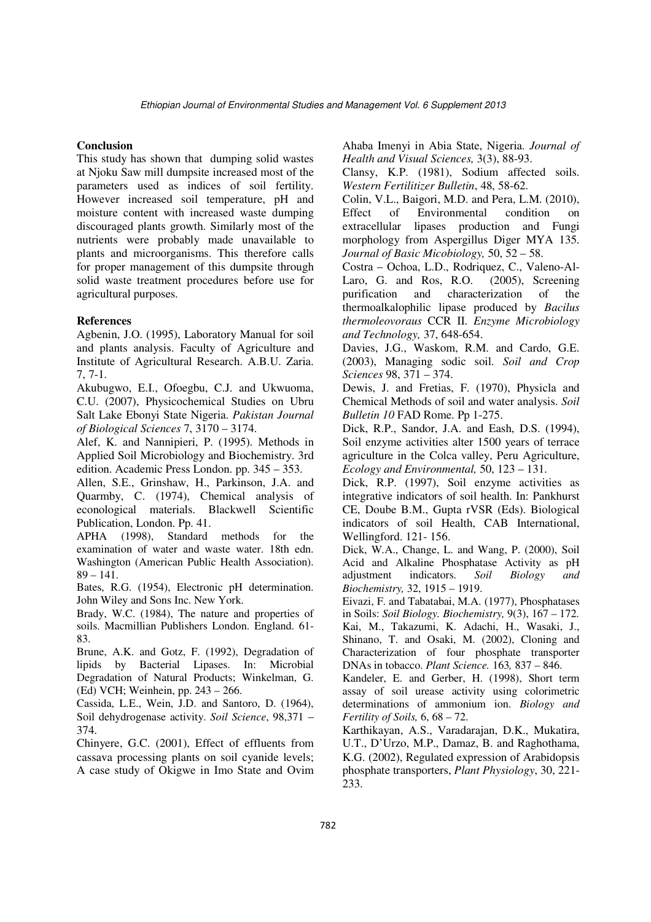### **Conclusion**

This study has shown that dumping solid wastes at Njoku Saw mill dumpsite increased most of the parameters used as indices of soil fertility. However increased soil temperature, pH and moisture content with increased waste dumping discouraged plants growth. Similarly most of the nutrients were probably made unavailable to plants and microorganisms. This therefore calls for proper management of this dumpsite through solid waste treatment procedures before use for agricultural purposes.

#### **References**

Agbenin, J.O. (1995), Laboratory Manual for soil and plants analysis. Faculty of Agriculture and Institute of Agricultural Research. A.B.U. Zaria. 7, 7-1.

Akubugwo, E.I., Ofoegbu, C.J. and Ukwuoma, C.U. (2007), Physicochemical Studies on Ubru Salt Lake Ebonyi State Nigeria. *Pakistan Journal of Biological Sciences* 7, 3170 – 3174.

Alef, K. and Nannipieri, P. (1995). Methods in Applied Soil Microbiology and Biochemistry. 3rd edition. Academic Press London. pp. 345 – 353.

Allen, S.E., Grinshaw, H., Parkinson, J.A. and Quarmby, C. (1974), Chemical analysis of econological materials. Blackwell Scientific Publication, London. Pp. 41.

APHA (1998), Standard methods for the examination of water and waste water. 18th edn. Washington (American Public Health Association).  $89 - 141.$ 

Bates, R.G. (1954), Electronic pH determination. John Wiley and Sons Inc. New York.

Brady, W.C. (1984), The nature and properties of soils. Macmillian Publishers London. England. 61- 83.

Brune, A.K. and Gotz, F. (1992), Degradation of lipids by Bacterial Lipases. In: Microbial Degradation of Natural Products; Winkelman, G. (Ed) VCH; Weinhein, pp. 243 – 266.

Cassida, L.E., Wein, J.D. and Santoro, D. (1964), Soil dehydrogenase activity. *Soil Science*, 98,371 – 374.

Chinyere, G.C. (2001), Effect of effluents from cassava processing plants on soil cyanide levels; A case study of Okigwe in Imo State and Ovim

Ahaba Imenyi in Abia State, Nigeria. *Journal of Health and Visual Sciences,* 3(3), 88-93.

Clansy, K.P. (1981), Sodium affected soils. *Western Fertilitizer Bulletin*, 48, 58-62.

Colin, V.L., Baigori, M.D. and Pera, L.M. (2010), Effect of Environmental condition on extracellular lipases production and Fungi morphology from Aspergillus Diger MYA 135. *Journal of Basic Micobiology,* 50, 52 – 58.

Costra – Ochoa, L.D., Rodriquez, C., Valeno-Al-Laro, G. and Ros, R.O. (2005), Screening purification and characterization of the thermoalkalophilic lipase produced by *Bacilus thermoleovoraus* CCR II. *Enzyme Microbiology and Technology,* 37, 648-654.

Davies, J.G., Waskom, R.M. and Cardo, G.E. (2003), Managing sodic soil. *Soil and Crop Sciences* 98, 371 – 374.

Dewis, J. and Fretias, F. (1970), Physicla and Chemical Methods of soil and water analysis. *Soil Bulletin 10* FAD Rome. Pp 1-275.

Dick, R.P., Sandor, J.A. and Eash, D.S. (1994), Soil enzyme activities alter 1500 years of terrace agriculture in the Colca valley, Peru Agriculture, *Ecology and Environmental,* 50, 123 – 131.

Dick, R.P. (1997), Soil enzyme activities as integrative indicators of soil health. In: Pankhurst CE, Doube B.M., Gupta rVSR (Eds). Biological indicators of soil Health, CAB International, Wellingford. 121- 156.

Dick, W.A., Change, L. and Wang, P. (2000), Soil Acid and Alkaline Phosphatase Activity as pH adjustment indicators. *Soil Biology and Biochemistry,* 32, 1915 – 1919.

Eivazi, F. and Tabatabai, M.A. (1977), Phosphatases in Soils: *Soil Biology. Biochemistry,* 9(3), 167 – 172. Kai, M., Takazumi, K. Adachi, H., Wasaki, J., Shinano, T. and Osaki, M. (2002), Cloning and Characterization of four phosphate transporter DNAs in tobacco. *Plant Science.* 163*,* 837 – 846.

Kandeler, E. and Gerber, H. (1998), Short term assay of soil urease activity using colorimetric determinations of ammonium ion. *Biology and Fertility of Soils,* 6, 68 – 72.

Karthikayan, A.S., Varadarajan, D.K., Mukatira, U.T., D'Urzo, M.P., Damaz, B. and Raghothama, K.G. (2002), Regulated expression of Arabidopsis phosphate transporters, *Plant Physiology*, 30, 221- 233.